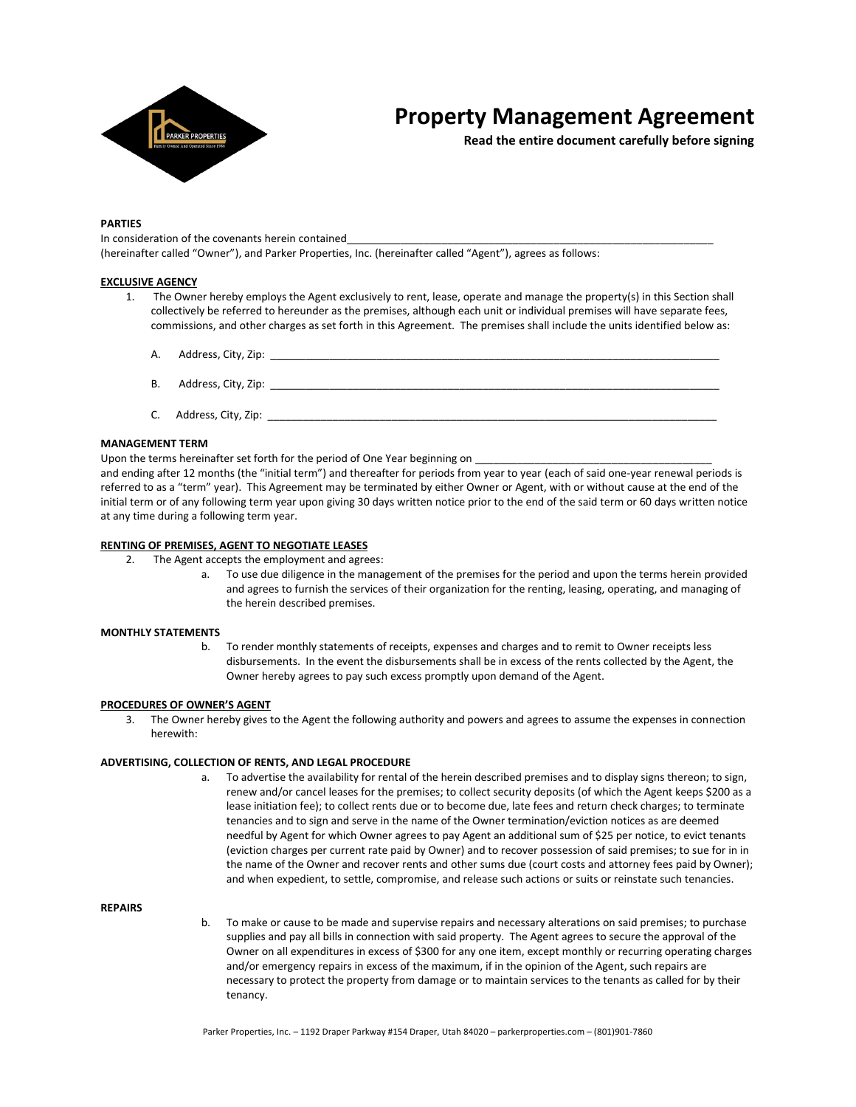

# **Property Management Agreement**

**Read the entire document carefully before signing**

# **PARTIES**

In consideration of the covenants herein contained (hereinafter called "Owner"), and Parker Properties, Inc. (hereinafter called "Agent"), agrees as follows:

# **EXCLUSIVE AGENCY**

- 1. The Owner hereby employs the Agent exclusively to rent, lease, operate and manage the property(s) in this Section shall collectively be referred to hereunder as the premises, although each unit or individual premises will have separate fees, commissions, and other charges as set forth in this Agreement. The premises shall include the units identified below as:
	- A. Address, City, Zip:
	- B. Address, City, Zip: \_
	- C. Address, City, Zip:

# **MANAGEMENT TERM**

Upon the terms hereinafter set forth for the period of One Year beginning on \_\_\_\_

and ending after 12 months (the "initial term") and thereafter for periods from year to year (each of said one-year renewal periods is referred to as a "term" year). This Agreement may be terminated by either Owner or Agent, with or without cause at the end of the initial term or of any following term year upon giving 30 days written notice prior to the end of the said term or 60 days written notice at any time during a following term year.

### **RENTING OF PREMISES, AGENT TO NEGOTIATE LEASES**

- 2. The Agent accepts the employment and agrees:
	- a. To use due diligence in the management of the premises for the period and upon the terms herein provided and agrees to furnish the services of their organization for the renting, leasing, operating, and managing of the herein described premises.

### **MONTHLY STATEMENTS**

b. To render monthly statements of receipts, expenses and charges and to remit to Owner receipts less disbursements. In the event the disbursements shall be in excess of the rents collected by the Agent, the Owner hereby agrees to pay such excess promptly upon demand of the Agent.

### **PROCEDURES OF OWNER'S AGENT**

3. The Owner hereby gives to the Agent the following authority and powers and agrees to assume the expenses in connection herewith:

# **ADVERTISING, COLLECTION OF RENTS, AND LEGAL PROCEDURE**

a. To advertise the availability for rental of the herein described premises and to display signs thereon; to sign, renew and/or cancel leases for the premises; to collect security deposits (of which the Agent keeps \$200 as a lease initiation fee); to collect rents due or to become due, late fees and return check charges; to terminate tenancies and to sign and serve in the name of the Owner termination/eviction notices as are deemed needful by Agent for which Owner agrees to pay Agent an additional sum of \$25 per notice, to evict tenants (eviction charges per current rate paid by Owner) and to recover possession of said premises; to sue for in in the name of the Owner and recover rents and other sums due (court costs and attorney fees paid by Owner); and when expedient, to settle, compromise, and release such actions or suits or reinstate such tenancies.

### **REPAIRS**

b. To make or cause to be made and supervise repairs and necessary alterations on said premises; to purchase supplies and pay all bills in connection with said property. The Agent agrees to secure the approval of the Owner on all expenditures in excess of \$300 for any one item, except monthly or recurring operating charges and/or emergency repairs in excess of the maximum, if in the opinion of the Agent, such repairs are necessary to protect the property from damage or to maintain services to the tenants as called for by their tenancy.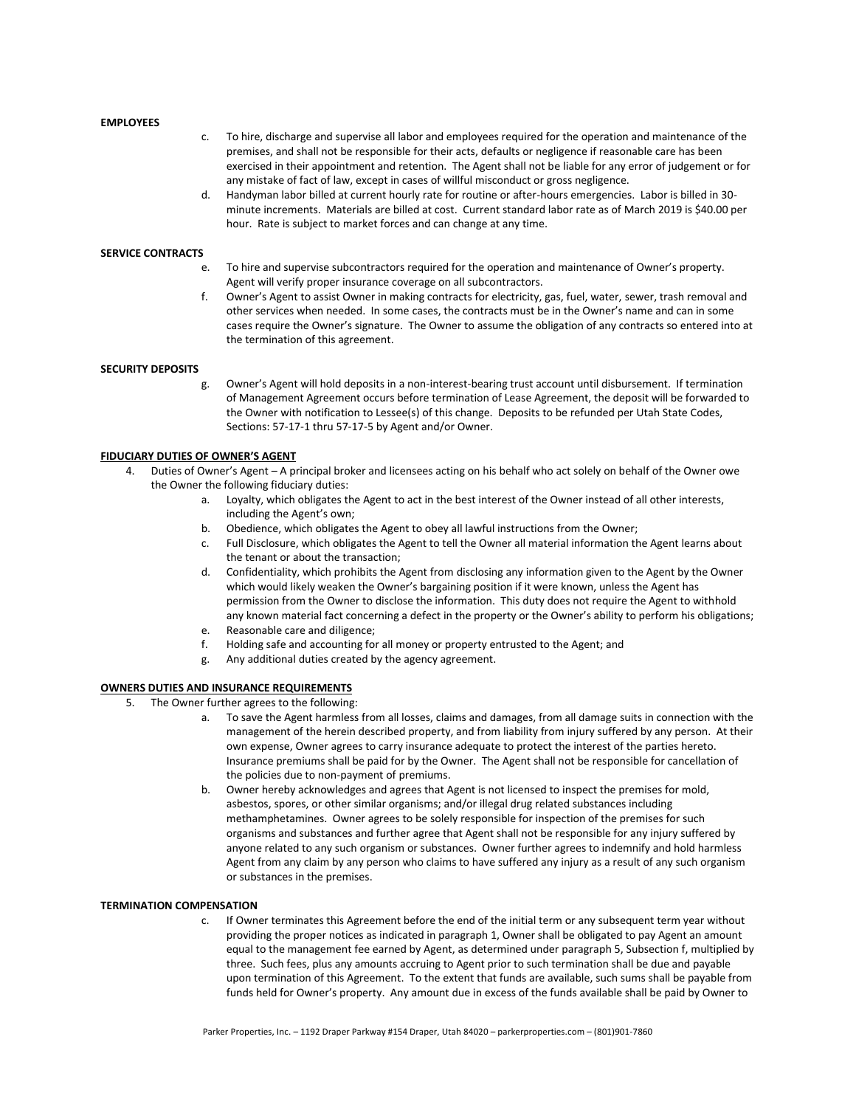### **EMPLOYEES**

- c. To hire, discharge and supervise all labor and employees required for the operation and maintenance of the premises, and shall not be responsible for their acts, defaults or negligence if reasonable care has been exercised in their appointment and retention. The Agent shall not be liable for any error of judgement or for any mistake of fact of law, except in cases of willful misconduct or gross negligence.
- d. Handyman labor billed at current hourly rate for routine or after-hours emergencies. Labor is billed in 30 minute increments. Materials are billed at cost. Current standard labor rate as of March 2019 is \$40.00 per hour. Rate is subject to market forces and can change at any time.

#### **SERVICE CONTRACTS**

- e. To hire and supervise subcontractors required for the operation and maintenance of Owner's property. Agent will verify proper insurance coverage on all subcontractors.
- f. Owner's Agent to assist Owner in making contracts for electricity, gas, fuel, water, sewer, trash removal and other services when needed. In some cases, the contracts must be in the Owner's name and can in some cases require the Owner's signature. The Owner to assume the obligation of any contracts so entered into at the termination of this agreement.

#### **SECURITY DEPOSITS**

g. Owner's Agent will hold deposits in a non-interest-bearing trust account until disbursement. If termination of Management Agreement occurs before termination of Lease Agreement, the deposit will be forwarded to the Owner with notification to Lessee(s) of this change. Deposits to be refunded per Utah State Codes, Sections: 57-17-1 thru 57-17-5 by Agent and/or Owner.

#### **FIDUCIARY DUTIES OF OWNER'S AGENT**

- Duties of Owner's Agent A principal broker and licensees acting on his behalf who act solely on behalf of the Owner owe the Owner the following fiduciary duties:
	- a. Loyalty, which obligates the Agent to act in the best interest of the Owner instead of all other interests, including the Agent's own;
	- b. Obedience, which obligates the Agent to obey all lawful instructions from the Owner;
	- c. Full Disclosure, which obligates the Agent to tell the Owner all material information the Agent learns about the tenant or about the transaction;
	- d. Confidentiality, which prohibits the Agent from disclosing any information given to the Agent by the Owner which would likely weaken the Owner's bargaining position if it were known, unless the Agent has permission from the Owner to disclose the information. This duty does not require the Agent to withhold any known material fact concerning a defect in the property or the Owner's ability to perform his obligations;
	- e. Reasonable care and diligence;
	- f. Holding safe and accounting for all money or property entrusted to the Agent; and
	- g. Any additional duties created by the agency agreement.

#### **OWNERS DUTIES AND INSURANCE REQUIREMENTS**

- 5. The Owner further agrees to the following:
	- a. To save the Agent harmless from all losses, claims and damages, from all damage suits in connection with the management of the herein described property, and from liability from injury suffered by any person. At their own expense, Owner agrees to carry insurance adequate to protect the interest of the parties hereto. Insurance premiums shall be paid for by the Owner. The Agent shall not be responsible for cancellation of the policies due to non-payment of premiums.
	- b. Owner hereby acknowledges and agrees that Agent is not licensed to inspect the premises for mold, asbestos, spores, or other similar organisms; and/or illegal drug related substances including methamphetamines. Owner agrees to be solely responsible for inspection of the premises for such organisms and substances and further agree that Agent shall not be responsible for any injury suffered by anyone related to any such organism or substances. Owner further agrees to indemnify and hold harmless Agent from any claim by any person who claims to have suffered any injury as a result of any such organism or substances in the premises.

# **TERMINATION COMPENSATION**

c. If Owner terminates this Agreement before the end of the initial term or any subsequent term year without providing the proper notices as indicated in paragraph 1, Owner shall be obligated to pay Agent an amount equal to the management fee earned by Agent, as determined under paragraph 5, Subsection f, multiplied by three. Such fees, plus any amounts accruing to Agent prior to such termination shall be due and payable upon termination of this Agreement. To the extent that funds are available, such sums shall be payable from funds held for Owner's property. Any amount due in excess of the funds available shall be paid by Owner to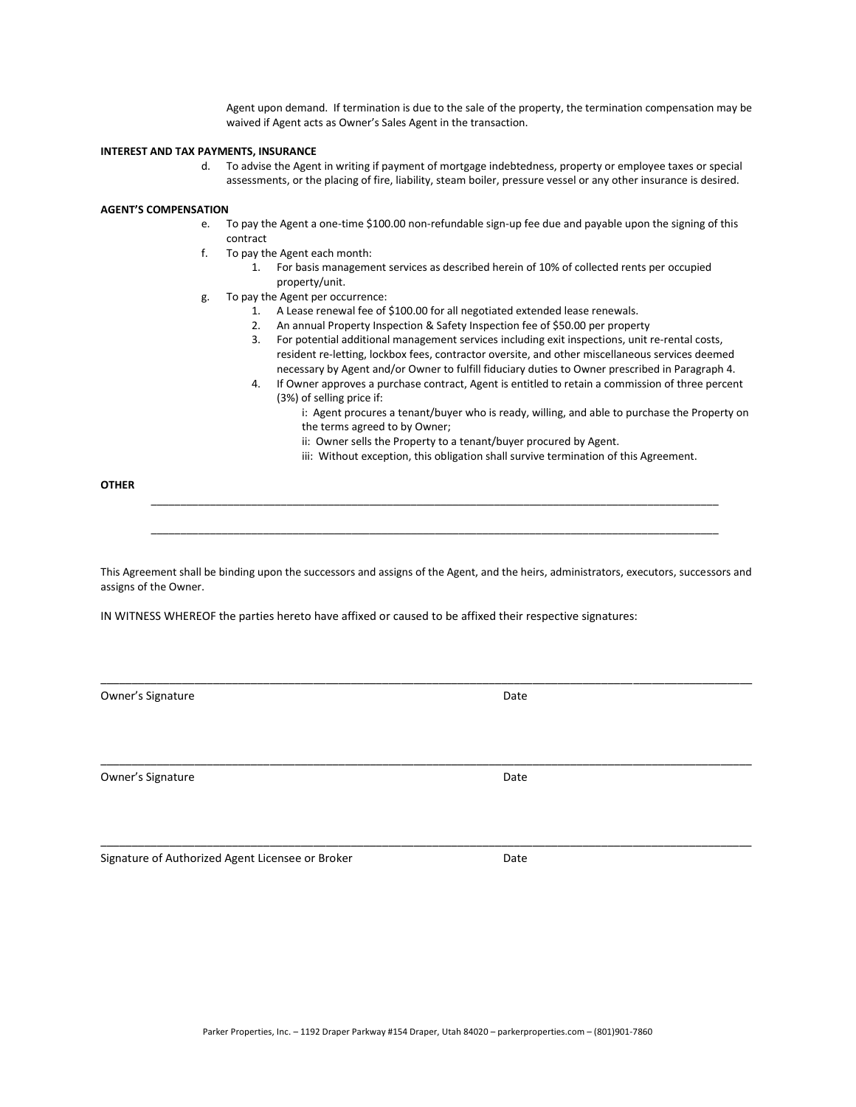Agent upon demand. If termination is due to the sale of the property, the termination compensation may be waived if Agent acts as Owner's Sales Agent in the transaction.

### **INTEREST AND TAX PAYMENTS, INSURANCE**

d. To advise the Agent in writing if payment of mortgage indebtedness, property or employee taxes or special assessments, or the placing of fire, liability, steam boiler, pressure vessel or any other insurance is desired.

#### **AGENT'S COMPENSATION**

- e. To pay the Agent a one-time \$100.00 non-refundable sign-up fee due and payable upon the signing of this contract
- f. To pay the Agent each month:
	- 1. For basis management services as described herein of 10% of collected rents per occupied property/unit.
- g. To pay the Agent per occurrence:
	- 1. A Lease renewal fee of \$100.00 for all negotiated extended lease renewals.
	- 2. An annual Property Inspection & Safety Inspection fee of \$50.00 per property
	- 3. For potential additional management services including exit inspections, unit re-rental costs, resident re-letting, lockbox fees, contractor oversite, and other miscellaneous services deemed necessary by Agent and/or Owner to fulfill fiduciary duties to Owner prescribed in Paragraph 4.
	- 4. If Owner approves a purchase contract, Agent is entitled to retain a commission of three percent (3%) of selling price if:

i: Agent procures a tenant/buyer who is ready, willing, and able to purchase the Property on the terms agreed to by Owner;

- ii: Owner sells the Property to a tenant/buyer procured by Agent.
- iii: Without exception, this obligation shall survive termination of this Agreement.

**OTHER**

This Agreement shall be binding upon the successors and assigns of the Agent, and the heirs, administrators, executors, successors and assigns of the Owner.

\_\_\_\_\_\_\_\_\_\_\_\_\_\_\_\_\_\_\_\_\_\_\_\_\_\_\_\_\_\_\_\_\_\_\_\_\_\_\_\_\_\_\_\_\_\_\_\_\_\_\_\_\_\_\_\_\_\_\_\_\_\_\_\_\_\_\_\_\_\_\_\_\_\_\_\_\_\_\_\_\_\_\_\_\_\_\_\_\_\_\_\_\_\_\_\_\_\_\_\_\_\_\_\_

\_\_\_\_\_\_\_\_\_\_\_\_\_\_\_\_\_\_\_\_\_\_\_\_\_\_\_\_\_\_\_\_\_\_\_\_\_\_\_\_\_\_\_\_\_\_\_\_\_\_\_\_\_\_\_\_\_\_\_\_\_\_\_\_\_\_\_\_\_\_\_\_\_\_\_\_\_\_\_\_\_\_\_\_\_\_\_\_\_\_\_\_\_\_\_\_\_\_\_\_\_\_\_\_

\_\_\_\_\_\_\_\_\_\_\_\_\_\_\_\_\_\_\_\_\_\_\_\_\_\_\_\_\_\_\_\_\_\_\_\_\_\_\_\_\_\_\_\_\_\_\_\_\_\_\_\_\_\_\_\_\_\_\_\_\_\_\_\_\_\_\_\_\_\_\_\_\_\_\_\_\_\_\_\_\_\_\_\_\_\_\_\_\_\_\_\_\_\_\_\_\_\_\_\_\_\_\_\_

\_\_\_\_\_\_\_\_\_\_\_\_\_\_\_\_\_\_\_\_\_\_\_\_\_\_\_\_\_\_\_\_\_\_\_\_\_\_\_\_\_\_\_\_\_\_\_\_\_\_\_\_\_\_\_\_\_\_\_\_\_\_\_\_\_\_\_\_\_\_\_\_\_\_\_\_\_\_\_\_\_\_\_\_\_\_\_\_\_\_\_\_\_\_\_\_

\_\_\_\_\_\_\_\_\_\_\_\_\_\_\_\_\_\_\_\_\_\_\_\_\_\_\_\_\_\_\_\_\_\_\_\_\_\_\_\_\_\_\_\_\_\_\_\_\_\_\_\_\_\_\_\_\_\_\_\_\_\_\_\_\_\_\_\_\_\_\_\_\_\_\_\_\_\_\_\_\_\_\_\_\_\_\_\_\_\_\_\_\_\_\_\_

IN WITNESS WHEREOF the parties hereto have affixed or caused to be affixed their respective signatures:

Owner's Signature **Date** Date of Contract and Contract of Contract and Contract and Contract and Contract and Contract and Contract and Contract and Contract and Contract and Contract and Contract and Contract and Contract

Owner's Signature Date

Signature of Authorized Agent Licensee or Broker **Date** Date

Parker Properties, Inc. – 1192 Draper Parkway #154 Draper, Utah 84020 – parkerproperties.com – (801)901-7860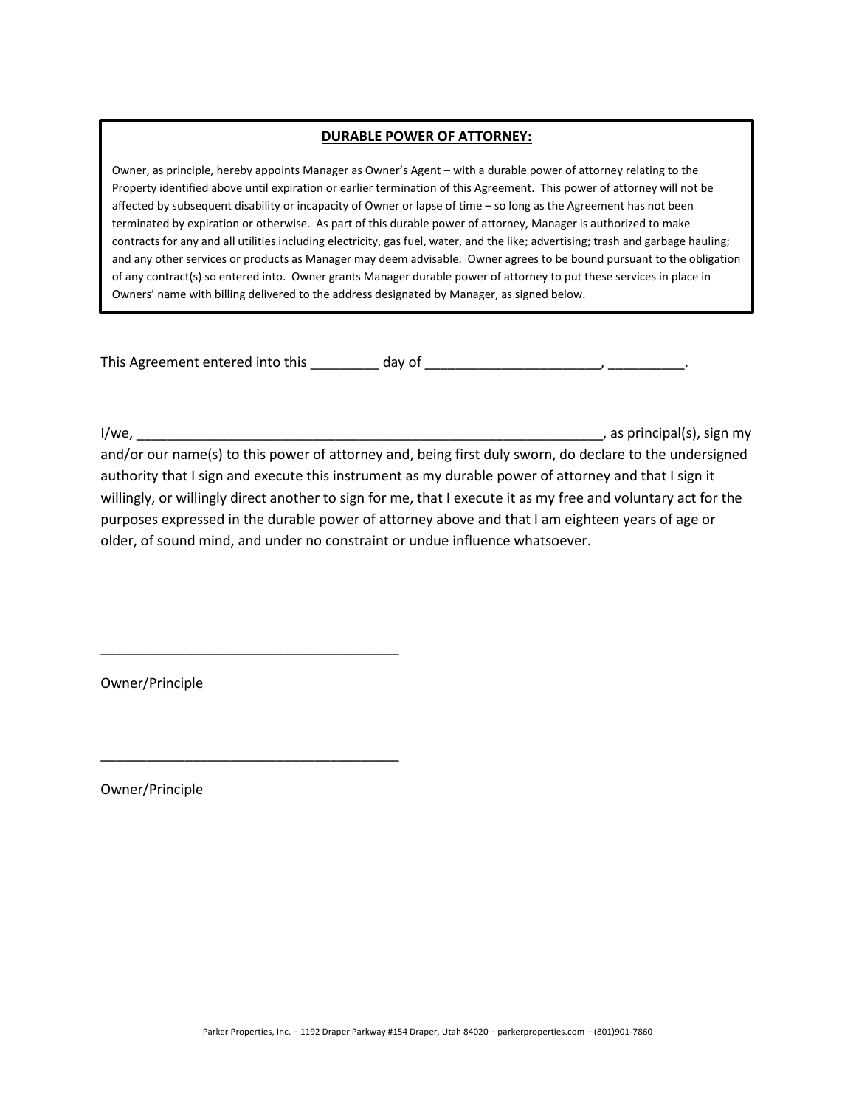# **DURABLE POWER OF ATTORNEY:**

Owner, as principle, hereby appoints Manager as Owner's Agent – with a durable power of attorney relating to the Property identified above until expiration or earlier termination of this Agreement. This power of attorney will not be affected by subsequent disability or incapacity of Owner or lapse of time – so long as the Agreement has not been terminated by expiration or otherwise. As part of this durable power of attorney, Manager is authorized to make contracts for any and all utilities including electricity, gas fuel, water, and the like; advertising; trash and garbage hauling; and any other services or products as Manager may deem advisable. Owner agrees to be bound pursuant to the obligation of any contract(s) so entered into. Owner grants Manager durable power of attorney to put these services in place in Owners' name with billing delivered to the address designated by Manager, as signed below.

This Agreement entered into this day of the state of the state of the state of the state of the state of the state of the state of the state of the state of the state of the state of the state of the state of the state of

I/we, \_\_\_\_\_\_\_\_\_\_\_\_\_\_\_\_\_\_\_\_\_\_\_\_\_\_\_\_\_\_\_\_\_\_\_\_\_\_\_\_\_\_\_\_\_\_\_\_\_\_\_\_\_\_\_\_\_\_\_\_\_, as principal(s), sign my and/or our name(s) to this power of attorney and, being first duly sworn, do declare to the undersigned authority that I sign and execute this instrument as my durable power of attorney and that I sign it willingly, or willingly direct another to sign for me, that I execute it as my free and voluntary act for the purposes expressed in the durable power of attorney above and that I am eighteen years of age or older, of sound mind, and under no constraint or undue influence whatsoever.

Owner/Principle

\_\_\_\_\_\_\_\_\_\_\_\_\_\_\_\_\_\_\_\_\_\_\_\_\_\_\_\_\_\_\_\_\_\_\_\_\_\_\_

\_\_\_\_\_\_\_\_\_\_\_\_\_\_\_\_\_\_\_\_\_\_\_\_\_\_\_\_\_\_\_\_\_\_\_\_\_\_\_

Owner/Principle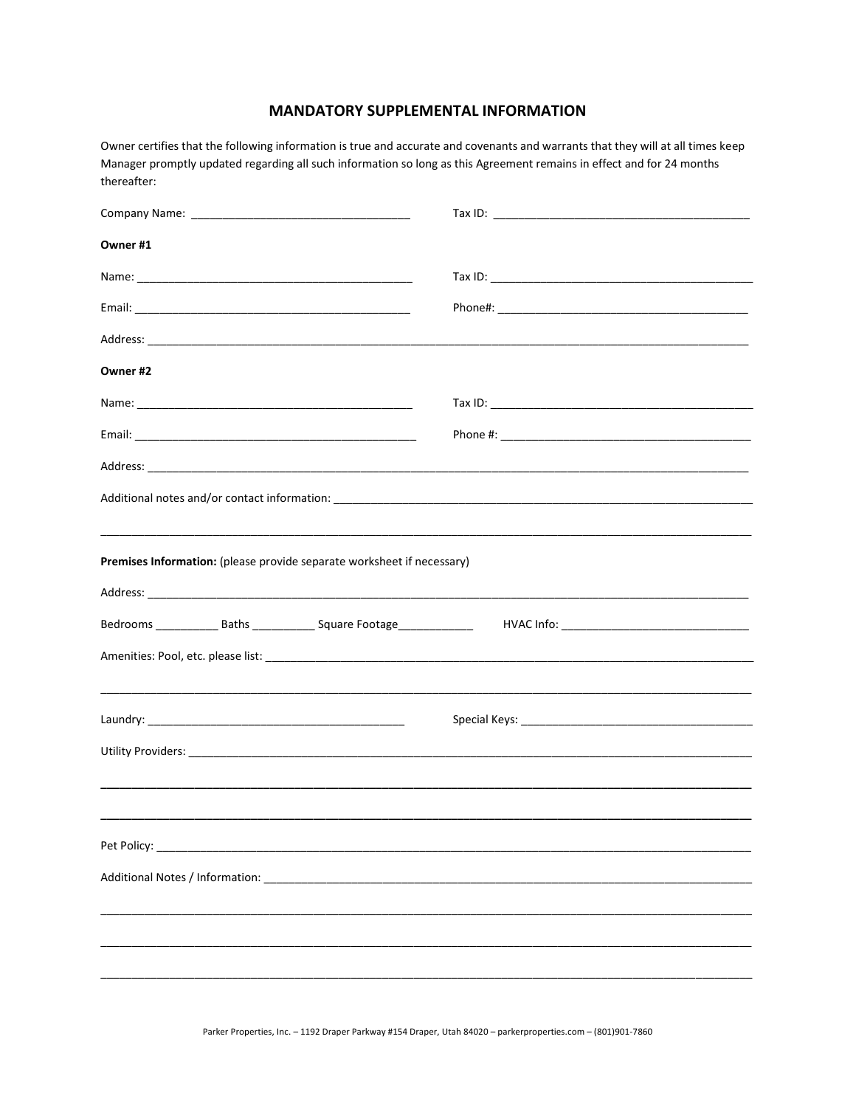# **MANDATORY SUPPLEMENTAL INFORMATION**

Owner certifies that the following information is true and accurate and covenants and warrants that they will at all times keep Manager promptly updated regarding all such information so long as this Agreement remains in effect and for 24 months thereafter:

| Owner #1                                                                        |                                                |
|---------------------------------------------------------------------------------|------------------------------------------------|
|                                                                                 |                                                |
|                                                                                 |                                                |
|                                                                                 |                                                |
| Owner #2                                                                        |                                                |
|                                                                                 |                                                |
|                                                                                 |                                                |
|                                                                                 |                                                |
|                                                                                 |                                                |
|                                                                                 |                                                |
| Premises Information: (please provide separate worksheet if necessary)          |                                                |
|                                                                                 |                                                |
| Bedrooms _______________ Baths _______________ Square Footage__________________ | HVAC Info: ___________________________________ |
|                                                                                 |                                                |
|                                                                                 |                                                |
|                                                                                 |                                                |
|                                                                                 |                                                |
|                                                                                 |                                                |
|                                                                                 |                                                |
|                                                                                 |                                                |
|                                                                                 |                                                |
|                                                                                 |                                                |
|                                                                                 |                                                |
|                                                                                 |                                                |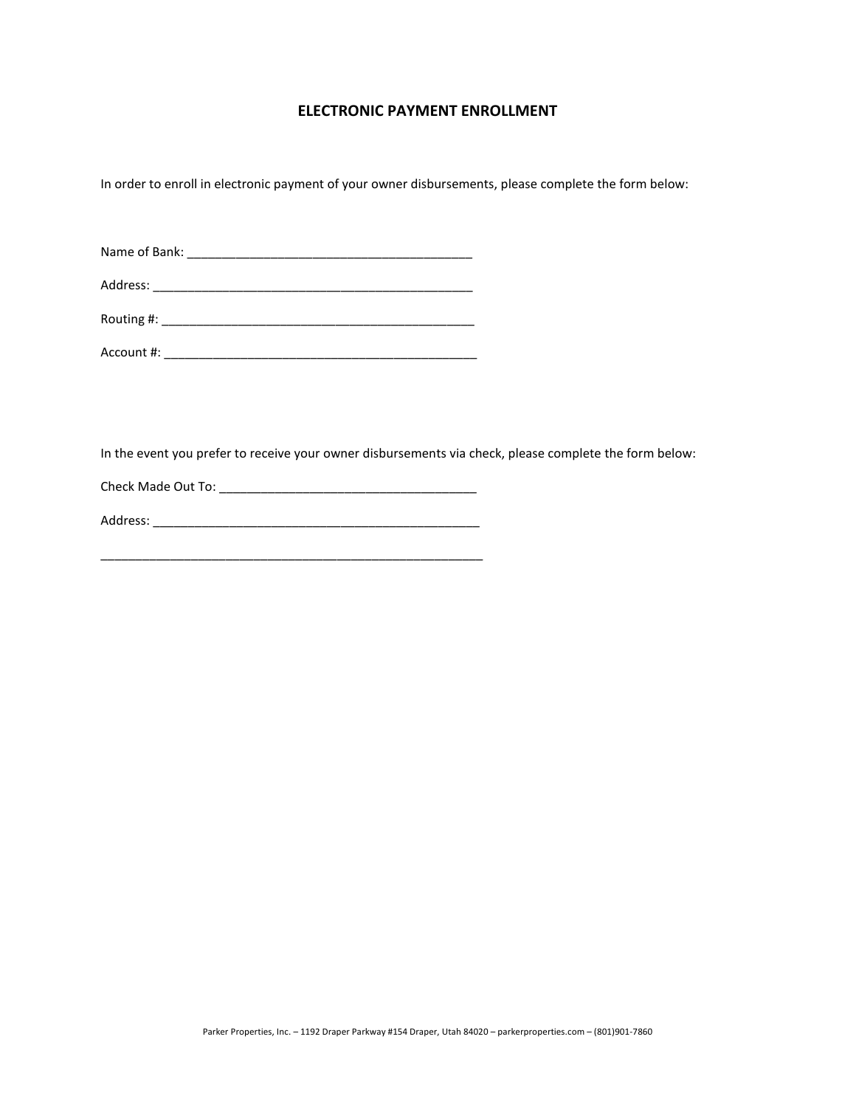# **ELECTRONIC PAYMENT ENROLLMENT**

In order to enroll in electronic payment of your owner disbursements, please complete the form below:

| Name of Bank: |
|---------------|
|---------------|

| Address: |  |
|----------|--|
|          |  |

| Routing #: |  |  |  |
|------------|--|--|--|
|            |  |  |  |

Account #: \_\_\_\_\_\_\_\_\_\_\_\_\_\_\_\_\_\_\_\_\_\_\_\_\_\_\_\_\_\_\_\_\_\_\_\_\_\_\_\_\_\_\_\_\_

In the event you prefer to receive your owner disbursements via check, please complete the form below:

Check Made Out To: \_\_\_\_\_\_\_\_\_\_\_\_\_\_\_\_\_\_\_\_\_\_\_\_\_\_\_\_\_\_\_\_\_\_\_\_\_

| Address: |
|----------|
|          |
|          |

\_\_\_\_\_\_\_\_\_\_\_\_\_\_\_\_\_\_\_\_\_\_\_\_\_\_\_\_\_\_\_\_\_\_\_\_\_\_\_\_\_\_\_\_\_\_\_\_\_\_\_\_\_\_\_